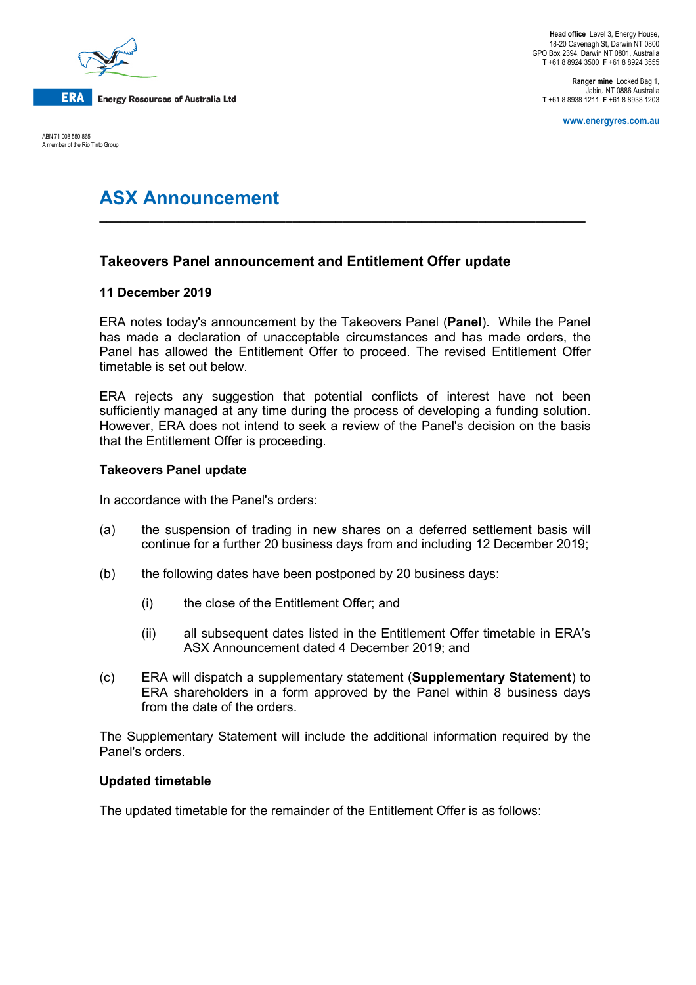

ABN 71 008 550 865 A member of the Rio Tinto Group

**Ranger mine** Locked Bag 1, Jabiru NT 0886 Australia **T** +61 8 8938 1211 **F** +61 8 8938 1203

**www.energyres.com.au**

# **ASX Announcement**

## **Takeovers Panel announcement and Entitlement Offer update**

## **11 December 2019**

ERA notes today's announcement by the Takeovers Panel (**Panel**). While the Panel has made a declaration of unacceptable circumstances and has made orders, the Panel has allowed the Entitlement Offer to proceed. The revised Entitlement Offer timetable is set out below.

**\_\_\_\_\_\_\_\_\_\_\_\_\_\_\_\_\_\_\_\_\_\_\_\_\_\_\_\_\_\_\_\_\_\_\_\_\_\_\_\_\_\_\_\_\_\_\_\_\_\_\_\_\_\_\_\_\_\_\_\_\_\_\_\_\_\_\_\_**

ERA rejects any suggestion that potential conflicts of interest have not been sufficiently managed at any time during the process of developing a funding solution. However, ERA does not intend to seek a review of the Panel's decision on the basis that the Entitlement Offer is proceeding.

## **Takeovers Panel update**

In accordance with the Panel's orders:

- (a) the suspension of trading in new shares on a deferred settlement basis will continue for a further 20 business days from and including 12 December 2019;
- (b) the following dates have been postponed by 20 business days:
	- (i) the close of the Entitlement Offer; and
	- (ii) all subsequent dates listed in the Entitlement Offer timetable in ERA's ASX Announcement dated 4 December 2019; and
- (c) ERA will dispatch a supplementary statement (**Supplementary Statement**) to ERA shareholders in a form approved by the Panel within 8 business days from the date of the orders.

The Supplementary Statement will include the additional information required by the Panel's orders.

### **Updated timetable**

The updated timetable for the remainder of the Entitlement Offer is as follows: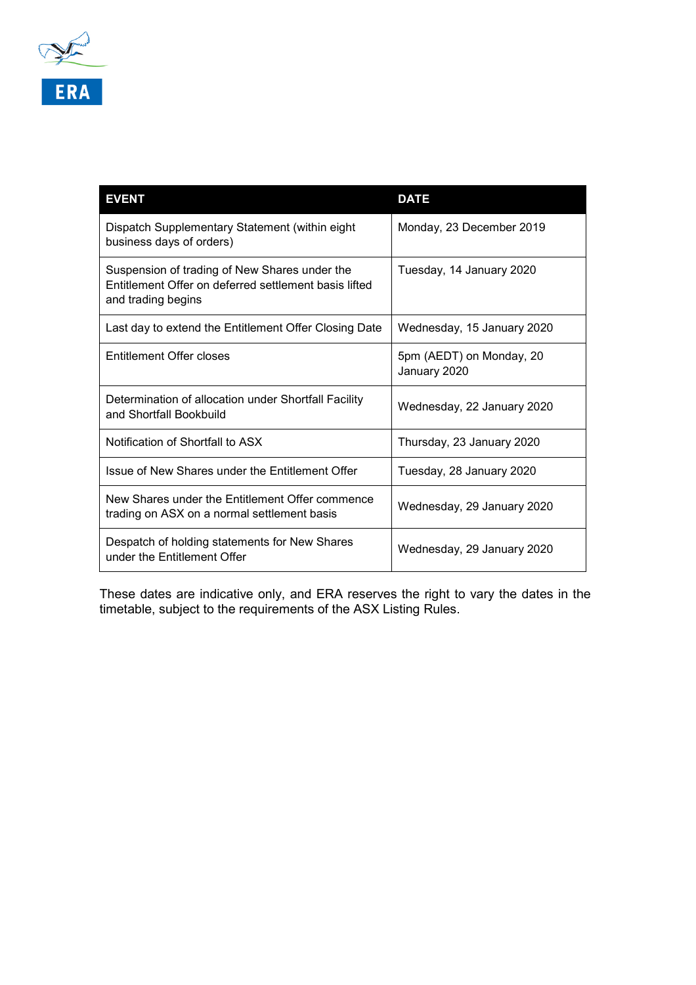

| <b>EVENT</b>                                                                                                                 | <b>DATE</b>                              |
|------------------------------------------------------------------------------------------------------------------------------|------------------------------------------|
| Dispatch Supplementary Statement (within eight<br>business days of orders)                                                   | Monday, 23 December 2019                 |
| Suspension of trading of New Shares under the<br>Entitlement Offer on deferred settlement basis lifted<br>and trading begins | Tuesday, 14 January 2020                 |
| Last day to extend the Entitlement Offer Closing Date                                                                        | Wednesday, 15 January 2020               |
| Entitlement Offer closes                                                                                                     | 5pm (AEDT) on Monday, 20<br>January 2020 |
| Determination of allocation under Shortfall Facility<br>and Shortfall Bookbuild                                              | Wednesday, 22 January 2020               |
| Notification of Shortfall to ASX                                                                                             | Thursday, 23 January 2020                |
| Issue of New Shares under the Entitlement Offer                                                                              | Tuesday, 28 January 2020                 |
| New Shares under the Entitlement Offer commence<br>trading on ASX on a normal settlement basis                               | Wednesday, 29 January 2020               |
| Despatch of holding statements for New Shares<br>under the Entitlement Offer                                                 | Wednesday, 29 January 2020               |

These dates are indicative only, and ERA reserves the right to vary the dates in the timetable, subject to the requirements of the ASX Listing Rules.